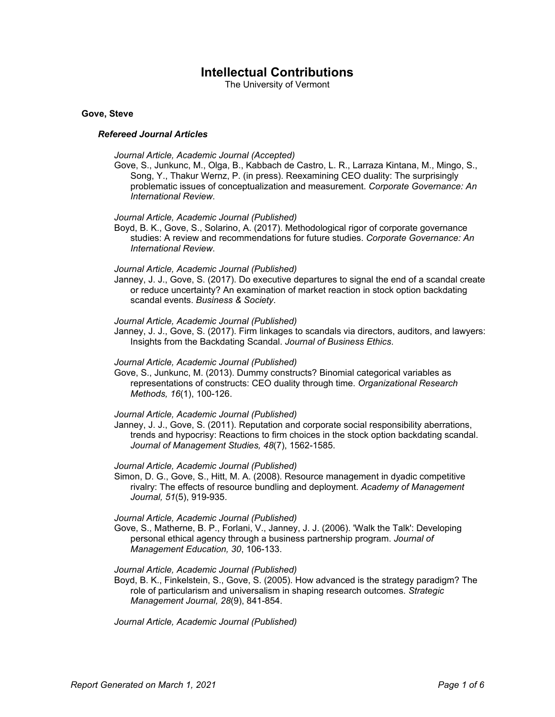# **Intellectual Contributions**

The University of Vermont

## **Gove, Steve**

## *Refereed Journal Articles*

#### *Journal Article, Academic Journal (Accepted)*

Gove, S., Junkunc, M., Olga, B., Kabbach de Castro, L. R., Larraza Kintana, M., Mingo, S., Song, Y., Thakur Wernz, P. (in press). Reexamining CEO duality: The surprisingly problematic issues of conceptualization and measurement. *Corporate Governance: An International Review*.

#### *Journal Article, Academic Journal (Published)*

Boyd, B. K., Gove, S., Solarino, A. (2017). Methodological rigor of corporate governance studies: A review and recommendations for future studies. *Corporate Governance: An International Review*.

# *Journal Article, Academic Journal (Published)*

Janney, J. J., Gove, S. (2017). Do executive departures to signal the end of a scandal create or reduce uncertainty? An examination of market reaction in stock option backdating scandal events. *Business & Society*.

#### *Journal Article, Academic Journal (Published)*

Janney, J. J., Gove, S. (2017). Firm linkages to scandals via directors, auditors, and lawyers: Insights from the Backdating Scandal. *Journal of Business Ethics*.

# *Journal Article, Academic Journal (Published)*

Gove, S., Junkunc, M. (2013). Dummy constructs? Binomial categorical variables as representations of constructs: CEO duality through time. *Organizational Research Methods, 16*(1), 100-126.

#### *Journal Article, Academic Journal (Published)*

Janney, J. J., Gove, S. (2011). Reputation and corporate social responsibility aberrations, trends and hypocrisy: Reactions to firm choices in the stock option backdating scandal. *Journal of Management Studies, 48*(7), 1562-1585.

## *Journal Article, Academic Journal (Published)*

Simon, D. G., Gove, S., Hitt, M. A. (2008). Resource management in dyadic competitive rivalry: The effects of resource bundling and deployment. *Academy of Management Journal, 51*(5), 919-935.

## *Journal Article, Academic Journal (Published)*

Gove, S., Matherne, B. P., Forlani, V., Janney, J. J. (2006). 'Walk the Talk': Developing personal ethical agency through a business partnership program. *Journal of Management Education, 30*, 106-133.

## *Journal Article, Academic Journal (Published)*

Boyd, B. K., Finkelstein, S., Gove, S. (2005). How advanced is the strategy paradigm? The role of particularism and universalism in shaping research outcomes. *Strategic Management Journal, 28*(9), 841-854.

*Journal Article, Academic Journal (Published)*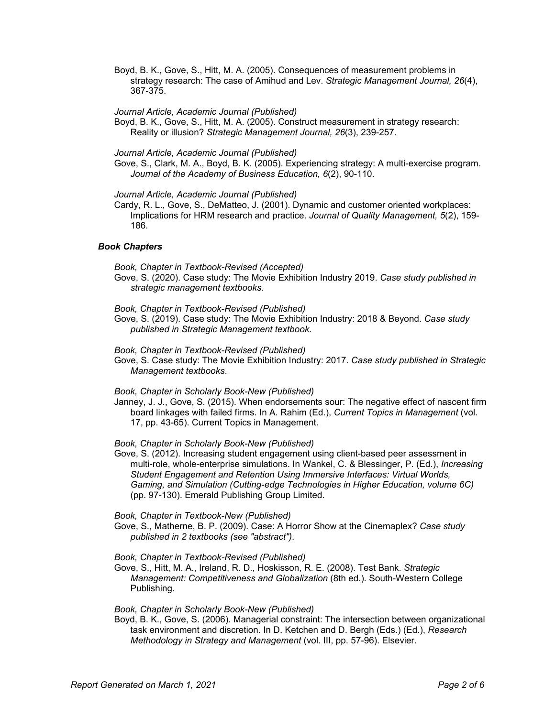Boyd, B. K., Gove, S., Hitt, M. A. (2005). Consequences of measurement problems in strategy research: The case of Amihud and Lev. *Strategic Management Journal, 26*(4), 367-375.

*Journal Article, Academic Journal (Published)*

Boyd, B. K., Gove, S., Hitt, M. A. (2005). Construct measurement in strategy research: Reality or illusion? *Strategic Management Journal, 26*(3), 239-257.

*Journal Article, Academic Journal (Published)*

Gove, S., Clark, M. A., Boyd, B. K. (2005). Experiencing strategy: A multi-exercise program. *Journal of the Academy of Business Education, 6*(2), 90-110.

# *Journal Article, Academic Journal (Published)*

Cardy, R. L., Gove, S., DeMatteo, J. (2001). Dynamic and customer oriented workplaces: Implications for HRM research and practice. *Journal of Quality Management, 5*(2), 159- 186.

# *Book Chapters*

*Book, Chapter in Textbook-Revised (Accepted)*

Gove, S. (2020). Case study: The Movie Exhibition Industry 2019. *Case study published in strategic management textbooks*.

*Book, Chapter in Textbook-Revised (Published)*

- Gove, S. (2019). Case study: The Movie Exhibition Industry: 2018 & Beyond. *Case study published in Strategic Management textbook*.
- *Book, Chapter in Textbook-Revised (Published)*
- Gove, S. Case study: The Movie Exhibition Industry: 2017. *Case study published in Strategic Management textbooks*.

# *Book, Chapter in Scholarly Book-New (Published)*

Janney, J. J., Gove, S. (2015). When endorsements sour: The negative effect of nascent firm board linkages with failed firms. In A. Rahim (Ed.), *Current Topics in Management* (vol. 17, pp. 43-65). Current Topics in Management.

# *Book, Chapter in Scholarly Book-New (Published)*

Gove, S. (2012). Increasing student engagement using client-based peer assessment in multi-role, whole-enterprise simulations. In Wankel, C. & Blessinger, P. (Ed.), *Increasing Student Engagement and Retention Using Immersive Interfaces: Virtual Worlds, Gaming, and Simulation (Cutting-edge Technologies in Higher Education, volume 6C)* (pp. 97-130). Emerald Publishing Group Limited.

# *Book, Chapter in Textbook-New (Published)*

Gove, S., Matherne, B. P. (2009). Case: A Horror Show at the Cinemaplex? *Case study published in 2 textbooks (see "abstract")*.

# *Book, Chapter in Textbook-Revised (Published)*

Gove, S., Hitt, M. A., Ireland, R. D., Hoskisson, R. E. (2008). Test Bank. *Strategic Management: Competitiveness and Globalization* (8th ed.). South-Western College Publishing.

## *Book, Chapter in Scholarly Book-New (Published)*

Boyd, B. K., Gove, S. (2006). Managerial constraint: The intersection between organizational task environment and discretion. In D. Ketchen and D. Bergh (Eds.) (Ed.), *Research Methodology in Strategy and Management* (vol. III, pp. 57-96). Elsevier.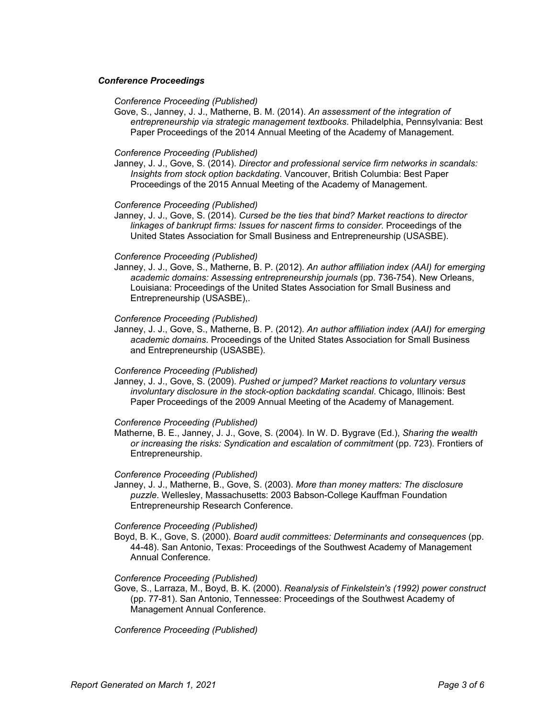# *Conference Proceedings*

#### *Conference Proceeding (Published)*

Gove, S., Janney, J. J., Matherne, B. M. (2014). *An assessment of the integration of entrepreneurship via strategic management textbooks*. Philadelphia, Pennsylvania: Best Paper Proceedings of the 2014 Annual Meeting of the Academy of Management.

#### *Conference Proceeding (Published)*

Janney, J. J., Gove, S. (2014). *Director and professional service firm networks in scandals: Insights from stock option backdating*. Vancouver, British Columbia: Best Paper Proceedings of the 2015 Annual Meeting of the Academy of Management.

## *Conference Proceeding (Published)*

Janney, J. J., Gove, S. (2014). *Cursed be the ties that bind? Market reactions to director linkages of bankrupt firms: Issues for nascent firms to consider*. Proceedings of the United States Association for Small Business and Entrepreneurship (USASBE).

## *Conference Proceeding (Published)*

Janney, J. J., Gove, S., Matherne, B. P. (2012). *An author affiliation index (AAI) for emerging academic domains: Assessing entrepreneurship journals* (pp. 736-754). New Orleans, Louisiana: Proceedings of the United States Association for Small Business and Entrepreneurship (USASBE),.

## *Conference Proceeding (Published)*

Janney, J. J., Gove, S., Matherne, B. P. (2012). *An author affiliation index (AAI) for emerging academic domains*. Proceedings of the United States Association for Small Business and Entrepreneurship (USASBE).

## *Conference Proceeding (Published)*

Janney, J. J., Gove, S. (2009). *Pushed or jumped? Market reactions to voluntary versus involuntary disclosure in the stock-option backdating scandal*. Chicago, Illinois: Best Paper Proceedings of the 2009 Annual Meeting of the Academy of Management.

#### *Conference Proceeding (Published)*

Matherne, B. E., Janney, J. J., Gove, S. (2004). In W. D. Bygrave (Ed.), *Sharing the wealth or increasing the risks: Syndication and escalation of commitment* (pp. 723). Frontiers of Entrepreneurship.

## *Conference Proceeding (Published)*

Janney, J. J., Matherne, B., Gove, S. (2003). *More than money matters: The disclosure puzzle*. Wellesley, Massachusetts: 2003 Babson-College Kauffman Foundation Entrepreneurship Research Conference.

#### *Conference Proceeding (Published)*

Boyd, B. K., Gove, S. (2000). *Board audit committees: Determinants and consequences* (pp. 44-48). San Antonio, Texas: Proceedings of the Southwest Academy of Management Annual Conference.

## *Conference Proceeding (Published)*

Gove, S., Larraza, M., Boyd, B. K. (2000). *Reanalysis of Finkelstein's (1992) power construct* (pp. 77-81). San Antonio, Tennessee: Proceedings of the Southwest Academy of Management Annual Conference.

*Conference Proceeding (Published)*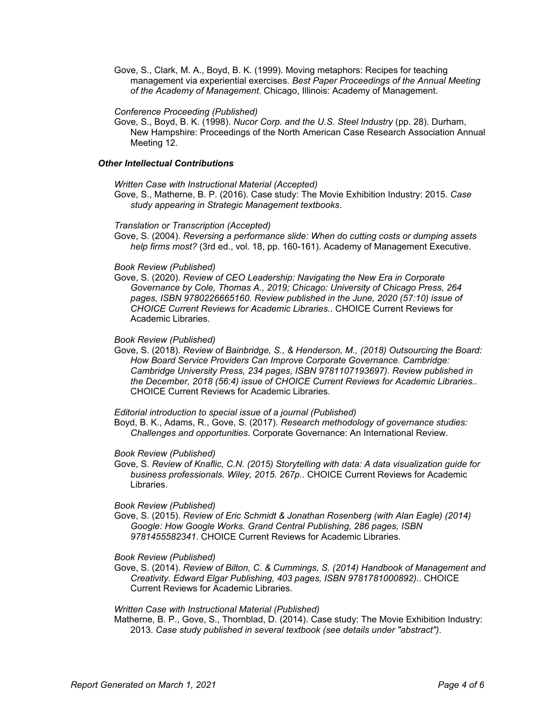Gove, S., Clark, M. A., Boyd, B. K. (1999). Moving metaphors: Recipes for teaching management via experiential exercises. *Best Paper Proceedings of the Annual Meeting of the Academy of Management*. Chicago, Illinois: Academy of Management.

## *Conference Proceeding (Published)*

Gove, S., Boyd, B. K. (1998). *Nucor Corp. and the U.S. Steel Industry* (pp. 28). Durham, New Hampshire: Proceedings of the North American Case Research Association Annual Meeting 12.

# *Other Intellectual Contributions*

*Written Case with Instructional Material (Accepted)*

Gove, S., Matherne, B. P. (2016). Case study: The Movie Exhibition Industry: 2015. *Case study appearing in Strategic Management textbooks*.

# *Translation or Transcription (Accepted)*

Gove, S. (2004). *Reversing a performance slide: When do cutting costs or dumping assets help firms most?* (3rd ed., vol. 18, pp. 160-161). Academy of Management Executive.

# *Book Review (Published)*

Gove, S. (2020). *Review of CEO Leadership: Navigating the New Era in Corporate Governance by Cole, Thomas A., 2019; Chicago: University of Chicago Press, 264 pages, ISBN 9780226665160. Review published in the June, 2020 (57:10) issue of CHOICE Current Reviews for Academic Libraries.*. CHOICE Current Reviews for Academic Libraries.

## *Book Review (Published)*

Gove, S. (2018). *Review of Bainbridge, S., & Henderson, M., (2018) Outsourcing the Board: How Board Service Providers Can Improve Corporate Governance. Cambridge: Cambridge University Press, 234 pages, ISBN 9781107193697). Review published in the December, 2018 (56:4) issue of CHOICE Current Reviews for Academic Libraries.*. CHOICE Current Reviews for Academic Libraries.

## *Editorial introduction to special issue of a journal (Published)*

Boyd, B. K., Adams, R., Gove, S. (2017). *Research methodology of governance studies: Challenges and opportunities*. Corporate Governance: An International Review.

*Book Review (Published)*

Gove, S. *Review of Knaflic, C.N. (2015) Storytelling with data: A data visualization guide for business professionals. Wiley, 2015. 267p.*. CHOICE Current Reviews for Academic Libraries.

# *Book Review (Published)*

Gove, S. (2015). *Review of Eric Schmidt & Jonathan Rosenberg (with Alan Eagle) (2014) Google: How Google Works. Grand Central Publishing, 286 pages, ISBN 9781455582341*. CHOICE Current Reviews for Academic Libraries.

## *Book Review (Published)*

Gove, S. (2014). *Review of Bilton, C. & Cummings, S. (2014) Handbook of Management and Creativity. Edward Elgar Publishing, 403 pages, ISBN 9781781000892).*. CHOICE Current Reviews for Academic Libraries.

## *Written Case with Instructional Material (Published)*

Matherne, B. P., Gove, S., Thornblad, D. (2014). Case study: The Movie Exhibition Industry: 2013. *Case study published in several textbook (see details under "abstract")*.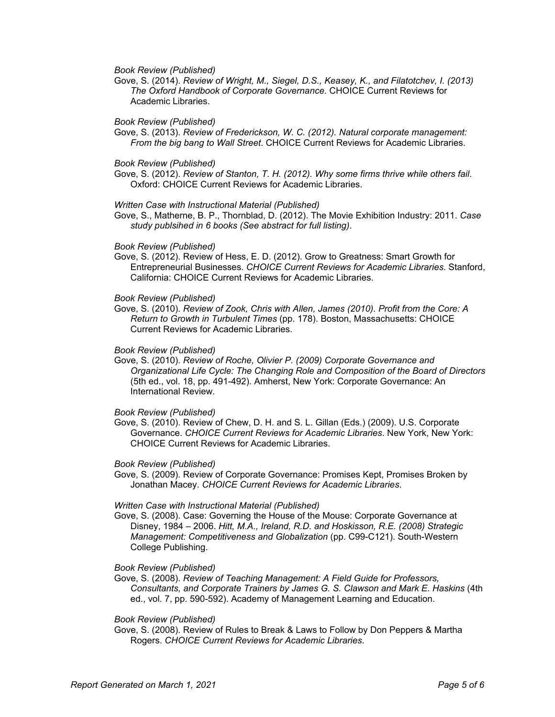*Book Review (Published)*

Gove, S. (2014). *Review of Wright, M., Siegel, D.S., Keasey, K., and Filatotchev, I. (2013) The Oxford Handbook of Corporate Governance*. CHOICE Current Reviews for Academic Libraries.

#### *Book Review (Published)*

Gove, S. (2013). *Review of Frederickson, W. C. (2012). Natural corporate management: From the big bang to Wall Street*. CHOICE Current Reviews for Academic Libraries.

#### *Book Review (Published)*

Gove, S. (2012). *Review of Stanton, T. H. (2012). Why some firms thrive while others fail*. Oxford: CHOICE Current Reviews for Academic Libraries.

#### *Written Case with Instructional Material (Published)*

Gove, S., Matherne, B. P., Thornblad, D. (2012). The Movie Exhibition Industry: 2011. *Case study publsihed in 6 books (See abstract for full listing)*.

#### *Book Review (Published)*

Gove, S. (2012). Review of Hess, E. D. (2012). Grow to Greatness: Smart Growth for Entrepreneurial Businesses. *CHOICE Current Reviews for Academic Libraries*. Stanford, California: CHOICE Current Reviews for Academic Libraries.

#### *Book Review (Published)*

Gove, S. (2010). *Review of Zook, Chris with Allen, James (2010). Profit from the Core: A Return to Growth in Turbulent Times* (pp. 178). Boston, Massachusetts: CHOICE Current Reviews for Academic Libraries.

## *Book Review (Published)*

Gove, S. (2010). *Review of Roche, Olivier P. (2009) Corporate Governance and Organizational Life Cycle: The Changing Role and Composition of the Board of Directors* (5th ed., vol. 18, pp. 491-492). Amherst, New York: Corporate Governance: An International Review.

#### *Book Review (Published)*

Gove, S. (2010). Review of Chew, D. H. and S. L. Gillan (Eds.) (2009). U.S. Corporate Governance. *CHOICE Current Reviews for Academic Libraries*. New York, New York: CHOICE Current Reviews for Academic Libraries.

## *Book Review (Published)*

Gove, S. (2009). Review of Corporate Governance: Promises Kept, Promises Broken by Jonathan Macey. *CHOICE Current Reviews for Academic Libraries*.

#### *Written Case with Instructional Material (Published)*

Gove, S. (2008). Case: Governing the House of the Mouse: Corporate Governance at Disney, 1984 – 2006. *Hitt, M.A., Ireland, R.D. and Hoskisson, R.E. (2008) Strategic Management: Competitiveness and Globalization* (pp. C99-C121). South-Western College Publishing.

#### *Book Review (Published)*

Gove, S. (2008). *Review of Teaching Management: A Field Guide for Professors, Consultants, and Corporate Trainers by James G. S. Clawson and Mark E. Haskins* (4th ed., vol. 7, pp. 590-592). Academy of Management Learning and Education.

## *Book Review (Published)*

Gove, S. (2008). Review of Rules to Break & Laws to Follow by Don Peppers & Martha Rogers. *CHOICE Current Reviews for Academic Libraries*.